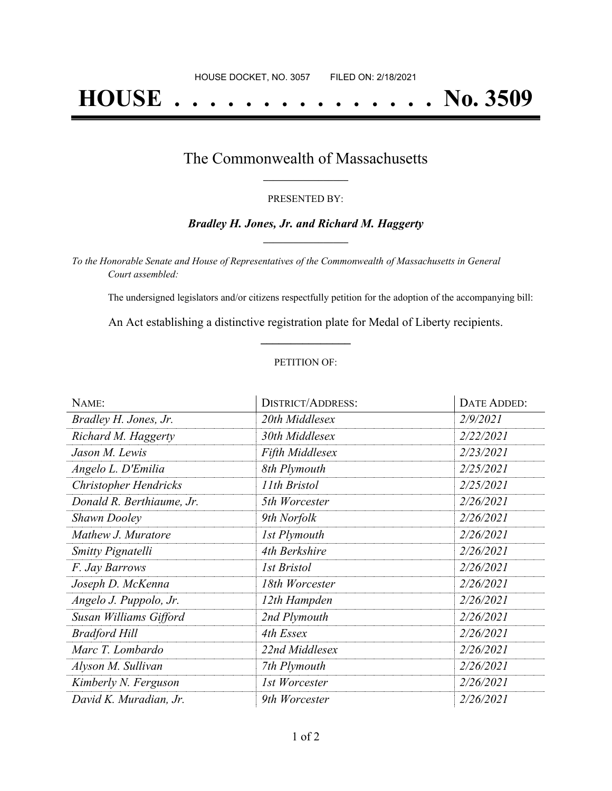# **HOUSE . . . . . . . . . . . . . . . No. 3509**

## The Commonwealth of Massachusetts **\_\_\_\_\_\_\_\_\_\_\_\_\_\_\_\_\_**

#### PRESENTED BY:

#### *Bradley H. Jones, Jr. and Richard M. Haggerty* **\_\_\_\_\_\_\_\_\_\_\_\_\_\_\_\_\_**

*To the Honorable Senate and House of Representatives of the Commonwealth of Massachusetts in General Court assembled:*

The undersigned legislators and/or citizens respectfully petition for the adoption of the accompanying bill:

An Act establishing a distinctive registration plate for Medal of Liberty recipients. **\_\_\_\_\_\_\_\_\_\_\_\_\_\_\_**

#### PETITION OF:

| NAME:                        | <b>DISTRICT/ADDRESS:</b> | DATE ADDED: |
|------------------------------|--------------------------|-------------|
| Bradley H. Jones, Jr.        | 20th Middlesex           | 2/9/2021    |
| Richard M. Haggerty          | 30th Middlesex           | 2/22/2021   |
| Jason M. Lewis               | <b>Fifth Middlesex</b>   | 2/23/2021   |
| Angelo L. D'Emilia           | 8th Plymouth             | 2/25/2021   |
| <b>Christopher Hendricks</b> | 11th Bristol             | 2/25/2021   |
| Donald R. Berthiaume, Jr.    | 5th Worcester            | 2/26/2021   |
| <b>Shawn Dooley</b>          | 9th Norfolk              | 2/26/2021   |
| Mathew J. Muratore           | 1st Plymouth             | 2/26/2021   |
| <b>Smitty Pignatelli</b>     | 4th Berkshire            | 2/26/2021   |
| F. Jay Barrows               | 1st Bristol              | 2/26/2021   |
| Joseph D. McKenna            | 18th Worcester           | 2/26/2021   |
| Angelo J. Puppolo, Jr.       | 12th Hampden             | 2/26/2021   |
| Susan Williams Gifford       | 2nd Plymouth             | 2/26/2021   |
| <b>Bradford Hill</b>         | 4th Essex                | 2/26/2021   |
| Marc T. Lombardo             | 22nd Middlesex           | 2/26/2021   |
| Alyson M. Sullivan           | 7th Plymouth             | 2/26/2021   |
| Kimberly N. Ferguson         | 1st Worcester            | 2/26/2021   |
| David K. Muradian, Jr.       | 9th Worcester            | 2/26/2021   |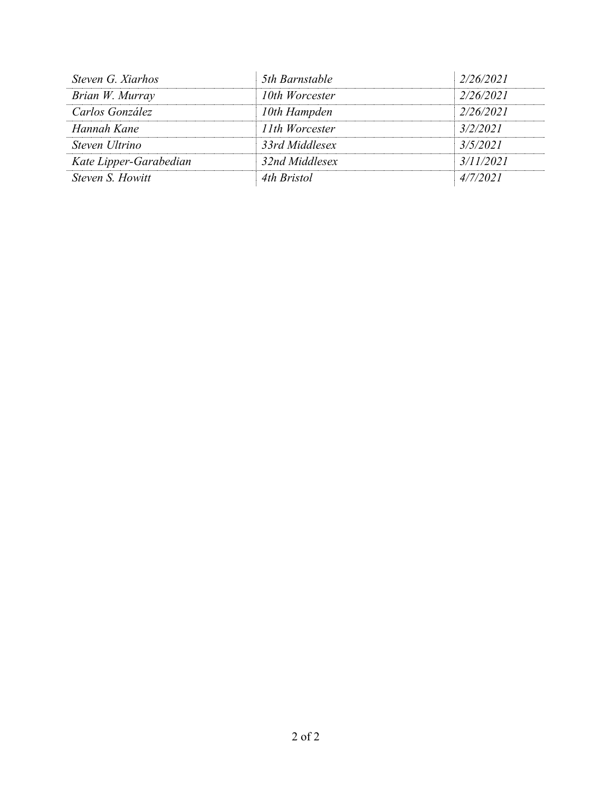| Steven G. Xiarhos      | 5th Barnstable | 2/26/2021 |
|------------------------|----------------|-----------|
| Brian W. Murray        | 10th Worcester | 2/26/2021 |
| Carlos González        | 10th Hampden   | 2/26/2021 |
| Hannah Kane            | 11th Worcester | 3/2/2021  |
| Steven Ultrino         | 33rd Middlesex | 3/5/2021  |
| Kate Lipper-Garabedian | 32nd Middlesex | 3/11/2021 |
| Steven S. Howitt       | 4th Bristol    | 4/7/2021  |